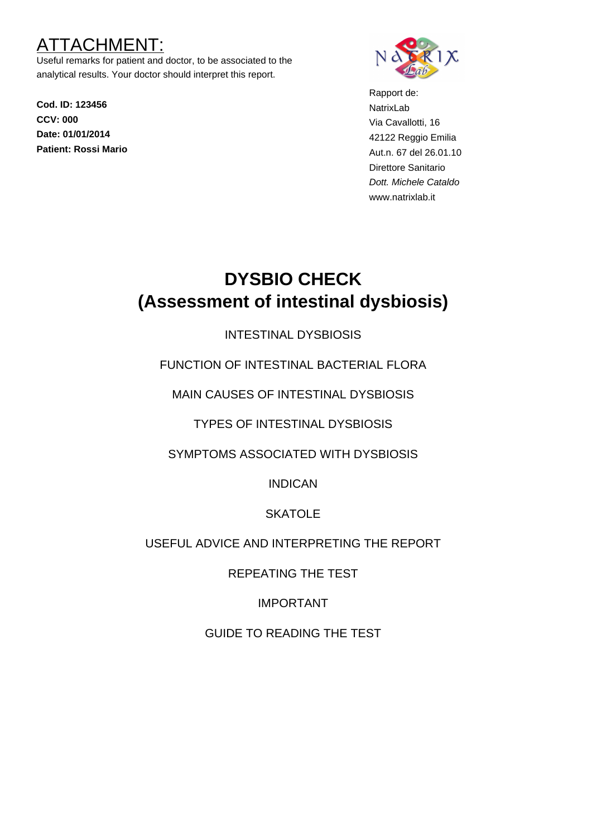## TACHMEN

Useful remarks for patient and doctor, to be associated to the analytical results. Your doctor should interpret this report.

**Cod. ID: 123456 CCV: 000 Date: 01/01/2014 Patient: Rossi Mario**



Rapport de: NatrixLab Via Cavallotti, 16 42122 Reggio Emilia Aut.n. 67 del 26.01.10 Direttore Sanitario Dott. Michele Cataldo www.natrixlab.it

# **DYSBIO CHECK (Assessment of intestinal dysbiosis)**

## INTESTINAL DYSBIOSIS

FUNCTION OF INTESTINAL BACTERIAL FLORA

MAIN CAUSES OF INTESTINAL DYSBIOSIS

TYPES OF INTESTINAL DYSBIOSIS

SYMPTOMS ASSOCIATED WITH DYSBIOSIS

INDICAN

## **SKATOLE**

## USEFUL ADVICE AND INTERPRETING THE REPORT

REPEATING THE TEST

IMPORTANT

GUIDE TO READING THE TEST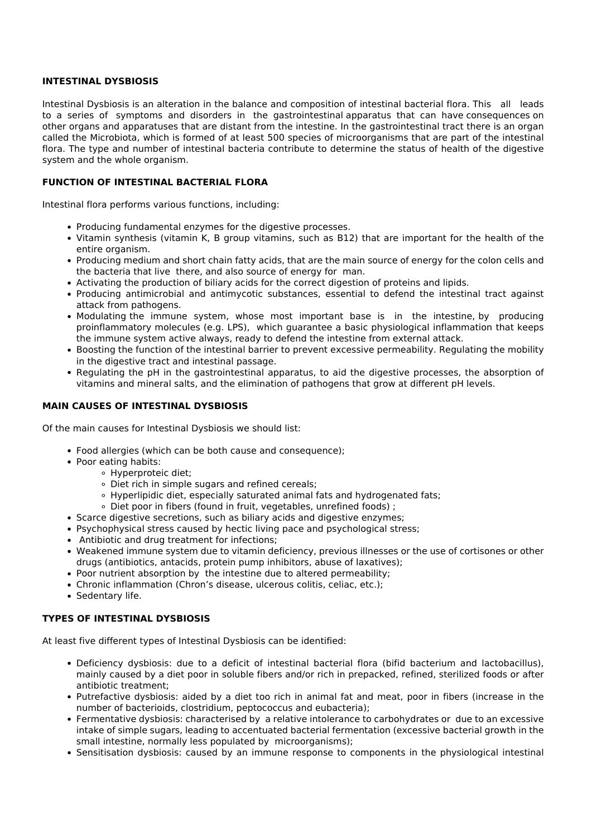#### **INTESTINAL DYSBIOSIS**

Intestinal Dysbiosis is an alteration in the balance and composition of intestinal bacterial flora. This all leads to a series of symptoms and disorders in the gastrointestinal apparatus that can have consequences on other organs and apparatuses that are distant from the intestine. In the gastrointestinal tract there is an organ called the Microbiota, which is formed of at least 500 species of microorganisms that are part of the intestinal flora. The type and number of intestinal bacteria contribute to determine the status of health of the digestive system and the whole organism.

#### **FUNCTION OF INTESTINAL BACTERIAL FLORA**

Intestinal flora performs various functions, including:

- Producing fundamental enzymes for the digestive processes.
- Vitamin synthesis (vitamin K, B group vitamins, such as B12) that are important for the health of the entire organism.
- Producing medium and short chain fatty acids, that are the main source of energy for the colon cells and the bacteria that live there, and also source of energy for man.
- Activating the production of biliary acids for the correct digestion of proteins and lipids.
- Producing antimicrobial and antimycotic substances, essential to defend the intestinal tract against attack from pathogens.
- Modulating the immune system, whose most important base is in the intestine, by producing proinflammatory molecules (e.g. LPS), which guarantee a basic physiological inflammation that keeps the immune system active always, ready to defend the intestine from external attack.
- Boosting the function of the intestinal barrier to prevent excessive permeability. Regulating the mobility in the digestive tract and intestinal passage.
- Regulating the pH in the gastrointestinal apparatus, to aid the digestive processes, the absorption of vitamins and mineral salts, and the elimination of pathogens that grow at different pH levels.

#### **MAIN CAUSES OF INTESTINAL DYSBIOSIS**

Of the main causes for Intestinal Dysbiosis we should list:

- Food allergies (which can be both cause and consequence);
- Poor eating habits:
	- Hyperproteic diet;
		- Diet rich in simple sugars and refined cereals;
		- Hyperlipidic diet, especially saturated animal fats and hydrogenated fats;
		- Diet poor in fibers (found in fruit, vegetables, unrefined foods) ;
- Scarce digestive secretions, such as biliary acids and digestive enzymes;
- Psychophysical stress caused by hectic living pace and psychological stress;
- Antibiotic and drug treatment for infections;
- Weakened immune system due to vitamin deficiency, previous illnesses or the use of cortisones or other drugs (antibiotics, antacids, protein pump inhibitors, abuse of laxatives);
- Poor nutrient absorption by the intestine due to altered permeability;
- Chronic inflammation (Chron's disease, ulcerous colitis, celiac, etc.);
- Sedentary life.

#### **TYPES OF INTESTINAL DYSBIOSIS**

At least five different types of Intestinal Dysbiosis can be identified:

- Deficiency dysbiosis: due to a deficit of intestinal bacterial flora (bifid bacterium and lactobacillus), mainly caused by a diet poor in soluble fibers and/or rich in prepacked, refined, sterilized foods or after antibiotic treatment;
- Putrefactive dysbiosis: aided by a diet too rich in animal fat and meat, poor in fibers (increase in the number of bacterioids, clostridium, peptococcus and eubacteria);
- Fermentative dysbiosis: characterised by a relative intolerance to carbohydrates or due to an excessive intake of simple sugars, leading to accentuated bacterial fermentation (excessive bacterial growth in the small intestine, normally less populated by microorganisms);
- Sensitisation dysbiosis: caused by an immune response to components in the physiological intestinal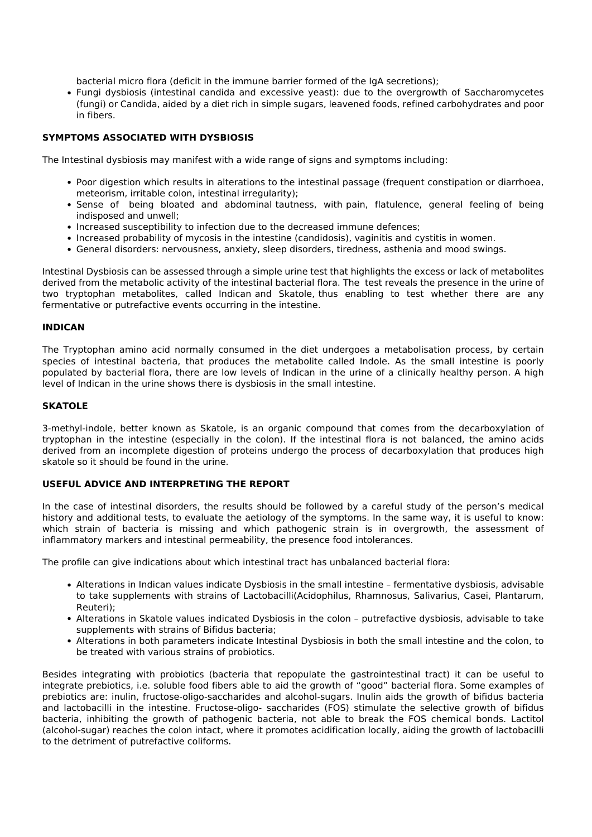bacterial micro flora (deficit in the immune barrier formed of the IgA secretions);

Fungi dysbiosis (intestinal candida and excessive yeast): due to the overgrowth of Saccharomycetes (fungi) or Candida, aided by a diet rich in simple sugars, leavened foods, refined carbohydrates and poor in fibers.

#### **SYMPTOMS ASSOCIATED WITH DYSBIOSIS**

The Intestinal dysbiosis may manifest with a wide range of signs and symptoms including:

- Poor digestion which results in alterations to the intestinal passage (frequent constipation or diarrhoea, meteorism, irritable colon, intestinal irregularity);
- Sense of being bloated and abdominal tautness, with pain, flatulence, general feeling of being indisposed and unwell;
- Increased susceptibility to infection due to the decreased immune defences;
- Increased probability of mycosis in the intestine (candidosis), vaginitis and cystitis in women.
- General disorders: nervousness, anxiety, sleep disorders, tiredness, asthenia and mood swings.

Intestinal Dysbiosis can be assessed through a simple urine test that highlights the excess or lack of metabolites derived from the metabolic activity of the intestinal bacterial flora. The test reveals the presence in the urine of two tryptophan metabolites, called Indican and Skatole, thus enabling to test whether there are any fermentative or putrefactive events occurring in the intestine.

#### **INDICAN**

The Tryptophan amino acid normally consumed in the diet undergoes a metabolisation process, by certain species of intestinal bacteria, that produces the metabolite called Indole. As the small intestine is poorly populated by bacterial flora, there are low levels of Indican in the urine of a clinically healthy person. A high level of Indican in the urine shows there is dysbiosis in the small intestine.

#### **SKATOLE**

3-methyl-indole, better known as Skatole, is an organic compound that comes from the decarboxylation of tryptophan in the intestine (especially in the colon). If the intestinal flora is not balanced, the amino acids derived from an incomplete digestion of proteins undergo the process of decarboxylation that produces high skatole so it should be found in the urine.

#### **USEFUL ADVICE AND INTERPRETING THE REPORT**

In the case of intestinal disorders, the results should be followed by a careful study of the person's medical history and additional tests, to evaluate the aetiology of the symptoms. In the same way, it is useful to know: which strain of bacteria is missing and which pathogenic strain is in overgrowth, the assessment of inflammatory markers and intestinal permeability, the presence food intolerances.

The profile can give indications about which intestinal tract has unbalanced bacterial flora:

- Alterations in Indican values indicate Dysbiosis in the small intestine fermentative dysbiosis, advisable to take supplements with strains of Lactobacilli(Acidophilus, Rhamnosus, Salivarius, Casei, Plantarum, Reuteri);
- Alterations in Skatole values indicated Dysbiosis in the colon putrefactive dysbiosis, advisable to take supplements with strains of Bifidus bacteria;
- Alterations in both parameters indicate Intestinal Dysbiosis in both the small intestine and the colon, to be treated with various strains of probiotics.

Besides integrating with probiotics (bacteria that repopulate the gastrointestinal tract) it can be useful to integrate prebiotics, i.e. soluble food fibers able to aid the growth of "good" bacterial flora. Some examples of prebiotics are: inulin, fructose-oligo-saccharides and alcohol-sugars. Inulin aids the growth of bifidus bacteria and lactobacilli in the intestine. Fructose-oligo- saccharides (FOS) stimulate the selective growth of bifidus bacteria, inhibiting the growth of pathogenic bacteria, not able to break the FOS chemical bonds. Lactitol (alcohol-sugar) reaches the colon intact, where it promotes acidification locally, aiding the growth of lactobacilli to the detriment of putrefactive coliforms.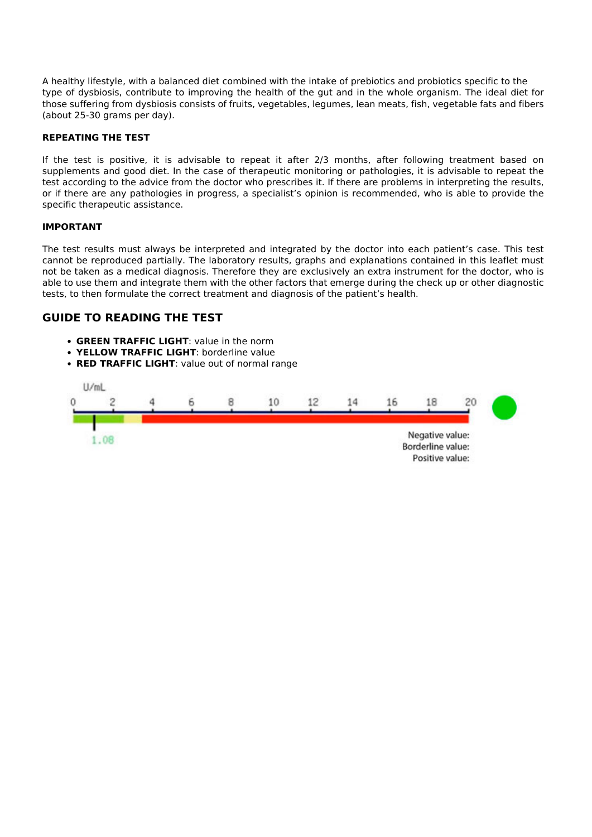A healthy lifestyle, with a balanced diet combined with the intake of prebiotics and probiotics specific to the type of dysbiosis, contribute to improving the health of the gut and in the whole organism. The ideal diet for those suffering from dysbiosis consists of fruits, vegetables, legumes, lean meats, fish, vegetable fats and fibers (about 25-30 grams per day).

#### **REPEATING THE TEST**

If the test is positive, it is advisable to repeat it after 2/3 months, after following treatment based on supplements and good diet. In the case of therapeutic monitoring or pathologies, it is advisable to repeat the test according to the advice from the doctor who prescribes it. If there are problems in interpreting the results, or if there are any pathologies in progress, a specialist's opinion is recommended, who is able to provide the specific therapeutic assistance.

#### **IMPORTANT**

The test results must always be interpreted and integrated by the doctor into each patient's case. This test cannot be reproduced partially. The laboratory results, graphs and explanations contained in this leaflet must not be taken as a medical diagnosis. Therefore they are exclusively an extra instrument for the doctor, who is able to use them and integrate them with the other factors that emerge during the check up or other diagnostic tests, to then formulate the correct treatment and diagnosis of the patient's health.

#### **GUIDE TO READING THE TEST**

- **GREEN TRAFFIC LIGHT**: value in the norm
- **YELLOW TRAFFIC LIGHT**: borderline value
- **RED TRAFFIC LIGHT**: value out of normal range

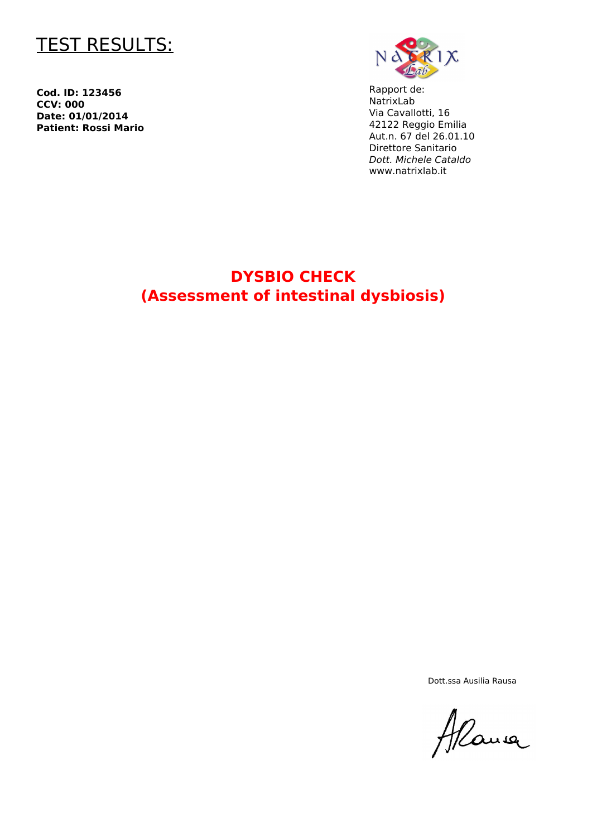

**Cod. ID: 123456 CCV: 000 Date: 01/01/2014 Patient: Rossi Mario**



Rapport de: NatrixLab Via Cavallotti, 16 42122 Reggio Emilia Aut.n. 67 del 26.01.10 Direttore Sanitario *Dott. Michele Cataldo* www.natrixlab.it

## **DYSBIO CHECK (Assessment of intestinal dysbiosis)**

Dott.ssa Ausilia Rausa

Alane